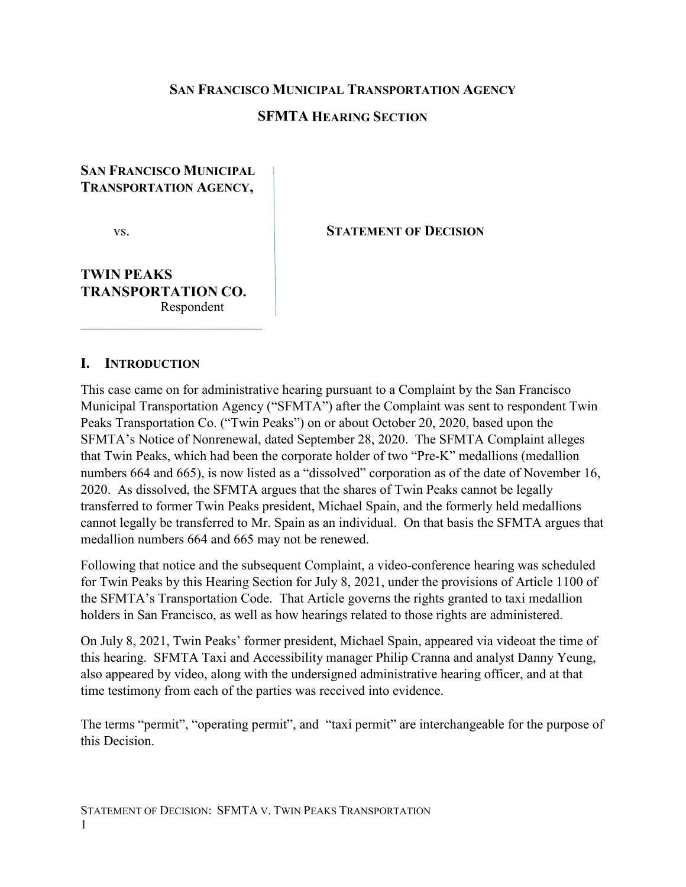#### **SAN FRANCISCO MUNICIPAL TRANSPORTATION AGENCY**

#### **SFMTA HEARING SECTION**

### **SAN FRANCISCO MUNICIPAL TRANSPORTATION AGENCY,**

vs. **STATEMENT OF DECISION**

### **TWIN PEAKS TRANSPORTATION CO.** Respondent

 $\overline{\phantom{a}}$  , and the set of the set of the set of the set of the set of the set of the set of the set of the set of the set of the set of the set of the set of the set of the set of the set of the set of the set of the s

#### **I. INTRODUCTION**

This case came on for administrative hearing pursuant to a Complaint by the San Francisco Municipal Transportation Agency ("SFMTA") after the Complaint was sent to respondent Twin Peaks Transportation Co. ("Twin Peaks") on or about October 20, 2020, based upon the SFMTA's Notice of Nonrenewal, dated September 28, 2020. The SFMTA Complaint alleges that Twin Peaks, which had been the corporate holder of two "Pre-K" medallions (medallion numbers 664 and 665), is now listed as a "dissolved" corporation as of the date of November 16, 2020. As dissolved, the SFMTA argues that the shares of Twin Peaks cannot be legally transferred to former Twin Peaks president, Michael Spain, and the formerly held medallions cannot legally be transferred to Mr. Spain as an individual. On that basis the SFMTA argues that medallion numbers 664 and 665 may not be renewed.

Following that notice and the subsequent Complaint, a video-conference hearing was scheduled for Twin Peaks by this Hearing Section for July 8, 2021, under the provisions of Article 1100 of the SFMTA's Transportation Code. That Article governs the rights granted to taxi medallion holders in San Francisco, as well as how hearings related to those rights are administered.

On July 8, 2021, Twin Peaks' former president, Michael Spain, appeared via videoat the time of this hearing. SFMTA Taxi and Accessibility manager Philip Cranna and analyst Danny Yeung, also appeared by video, along with the undersigned administrative hearing officer, and at that time testimony from each of the parties was received into evidence.

The terms "permit", "operating permit", and "taxi permit" are interchangeable for the purpose of this Decision.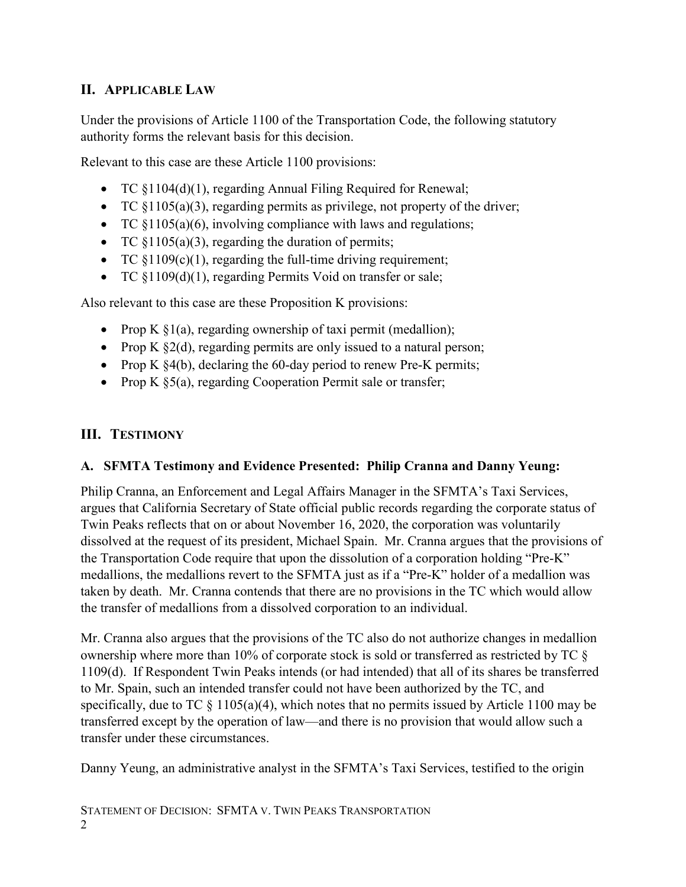# **II. APPLICABLE LAW**

Under the provisions of Article 1100 of the Transportation Code, the following statutory authority forms the relevant basis for this decision.

Relevant to this case are these Article 1100 provisions:

- TC  $\S 1104(d)(1)$ , regarding Annual Filing Required for Renewal;
- TC  $$1105(a)(3)$ , regarding permits as privilege, not property of the driver;
- TC §1105(a)(6), involving compliance with laws and regulations;
- TC §1105(a)(3), regarding the duration of permits;
- TC  $$1109(c)(1)$ , regarding the full-time driving requirement;
- TC §1109(d)(1), regarding Permits Void on transfer or sale;

Also relevant to this case are these Proposition K provisions:

- Prop K  $\S1(a)$ , regarding ownership of taxi permit (medallion);
- Prop K  $\S2(d)$ , regarding permits are only issued to a natural person;
- Prop K  $\frac{84(b)}{b}$ , declaring the 60-day period to renew Pre-K permits;
- Prop K §5(a), regarding Cooperation Permit sale or transfer;

## **III. TESTIMONY**

## **A. SFMTA Testimony and Evidence Presented: Philip Cranna and Danny Yeung:**

Philip Cranna, an Enforcement and Legal Affairs Manager in the SFMTA's Taxi Services, argues that California Secretary of State official public records regarding the corporate status of Twin Peaks reflects that on or about November 16, 2020, the corporation was voluntarily dissolved at the request of its president, Michael Spain. Mr. Cranna argues that the provisions of the Transportation Code require that upon the dissolution of a corporation holding "Pre-K" medallions, the medallions revert to the SFMTA just as if a "Pre-K" holder of a medallion was taken by death. Mr. Cranna contends that there are no provisions in the TC which would allow the transfer of medallions from a dissolved corporation to an individual.

Mr. Cranna also argues that the provisions of the TC also do not authorize changes in medallion ownership where more than 10% of corporate stock is sold or transferred as restricted by TC § 1109(d). If Respondent Twin Peaks intends (or had intended) that all of its shares be transferred to Mr. Spain, such an intended transfer could not have been authorized by the TC, and specifically, due to TC  $\S$  1105(a)(4), which notes that no permits issued by Article 1100 may be transferred except by the operation of law—and there is no provision that would allow such a transfer under these circumstances.

Danny Yeung, an administrative analyst in the SFMTA's Taxi Services, testified to the origin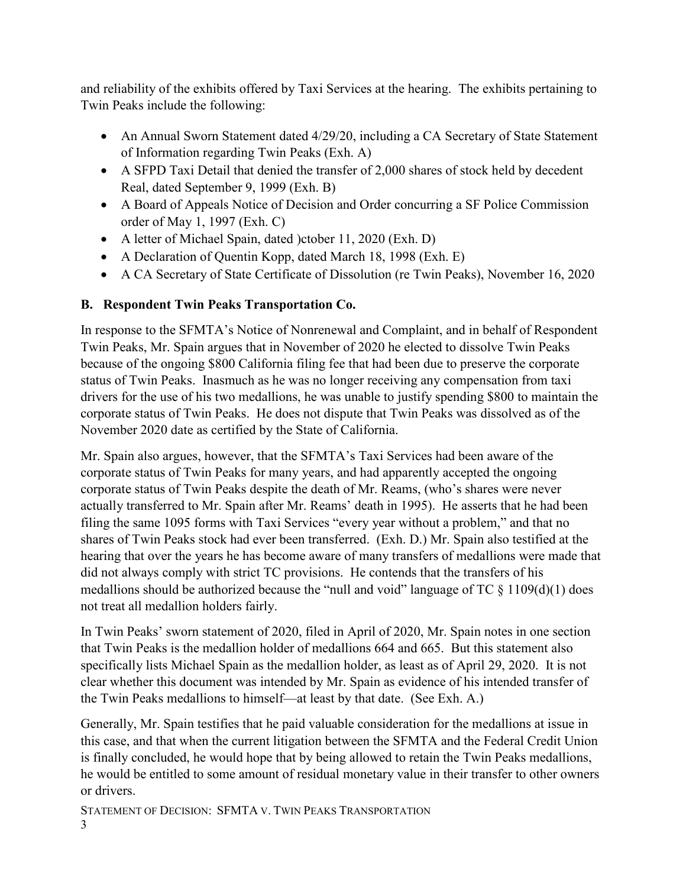and reliability of the exhibits offered by Taxi Services at the hearing. The exhibits pertaining to Twin Peaks include the following:

- An Annual Sworn Statement dated 4/29/20, including a CA Secretary of State Statement of Information regarding Twin Peaks (Exh. A)
- A SFPD Taxi Detail that denied the transfer of 2,000 shares of stock held by decedent Real, dated September 9, 1999 (Exh. B)
- A Board of Appeals Notice of Decision and Order concurring a SF Police Commission order of May 1, 1997 (Exh. C)
- A letter of Michael Spain, dated )ctober 11, 2020 (Exh. D)
- A Declaration of Quentin Kopp, dated March 18, 1998 (Exh. E)
- A CA Secretary of State Certificate of Dissolution (re Twin Peaks), November 16, 2020

## **B. Respondent Twin Peaks Transportation Co.**

In response to the SFMTA's Notice of Nonrenewal and Complaint, and in behalf of Respondent Twin Peaks, Mr. Spain argues that in November of 2020 he elected to dissolve Twin Peaks because of the ongoing \$800 California filing fee that had been due to preserve the corporate status of Twin Peaks. Inasmuch as he was no longer receiving any compensation from taxi drivers for the use of his two medallions, he was unable to justify spending \$800 to maintain the corporate status of Twin Peaks. He does not dispute that Twin Peaks was dissolved as of the November 2020 date as certified by the State of California.

Mr. Spain also argues, however, that the SFMTA's Taxi Services had been aware of the corporate status of Twin Peaks for many years, and had apparently accepted the ongoing corporate status of Twin Peaks despite the death of Mr. Reams, (who's shares were never actually transferred to Mr. Spain after Mr. Reams' death in 1995). He asserts that he had been filing the same 1095 forms with Taxi Services "every year without a problem," and that no shares of Twin Peaks stock had ever been transferred. (Exh. D.) Mr. Spain also testified at the hearing that over the years he has become aware of many transfers of medallions were made that did not always comply with strict TC provisions. He contends that the transfers of his medallions should be authorized because the "null and void" language of TC  $\S$  1109(d)(1) does not treat all medallion holders fairly.

In Twin Peaks' sworn statement of 2020, filed in April of 2020, Mr. Spain notes in one section that Twin Peaks is the medallion holder of medallions 664 and 665. But this statement also specifically lists Michael Spain as the medallion holder, as least as of April 29, 2020. It is not clear whether this document was intended by Mr. Spain as evidence of his intended transfer of the Twin Peaks medallions to himself—at least by that date. (See Exh. A.)

Generally, Mr. Spain testifies that he paid valuable consideration for the medallions at issue in this case, and that when the current litigation between the SFMTA and the Federal Credit Union is finally concluded, he would hope that by being allowed to retain the Twin Peaks medallions, he would be entitled to some amount of residual monetary value in their transfer to other owners or drivers.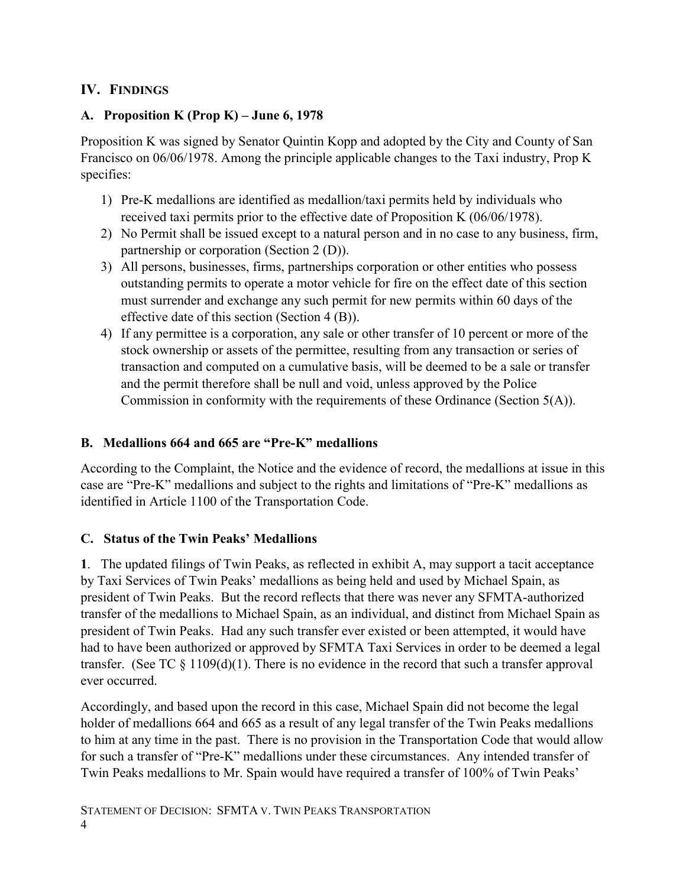# **IV. FINDINGS**

## **A. Proposition K (Prop K) – June 6, 1978**

Proposition K was signed by Senator Quintin Kopp and adopted by the City and County of San Francisco on 06/06/1978. Among the principle applicable changes to the Taxi industry, Prop K specifies:

- 1) Pre-K medallions are identified as medallion/taxi permits held by individuals who received taxi permits prior to the effective date of Proposition K (06/06/1978).
- 2) No Permit shall be issued except to a natural person and in no case to any business, firm, partnership or corporation (Section 2 (D)).
- 3) All persons, businesses, firms, partnerships corporation or other entities who possess outstanding permits to operate a motor vehicle for fire on the effect date of this section must surrender and exchange any such permit for new permits within 60 days of the effective date of this section (Section 4 (B)).
- 4) If any permittee is a corporation, any sale or other transfer of 10 percent or more of the stock ownership or assets of the permittee, resulting from any transaction or series of transaction and computed on a cumulative basis, will be deemed to be a sale or transfer and the permit therefore shall be null and void, unless approved by the Police Commission in conformity with the requirements of these Ordinance (Section 5(A)).

## **B. Medallions 664 and 665 are "Pre-K" medallions**

According to the Complaint, the Notice and the evidence of record, the medallions at issue in this case are "Pre-K" medallions and subject to the rights and limitations of "Pre-K" medallions as identified in Article 1100 of the Transportation Code.

## **C. Status of the Twin Peaks' Medallions**

**1**. The updated filings of Twin Peaks, as reflected in exhibit A, may support a tacit acceptance by Taxi Services of Twin Peaks' medallions as being held and used by Michael Spain, as president of Twin Peaks. But the record reflects that there was never any SFMTA-authorized transfer of the medallions to Michael Spain, as an individual, and distinct from Michael Spain as president of Twin Peaks. Had any such transfer ever existed or been attempted, it would have had to have been authorized or approved by SFMTA Taxi Services in order to be deemed a legal transfer. (See TC  $\S$  1109(d)(1). There is no evidence in the record that such a transfer approval ever occurred.

Accordingly, and based upon the record in this case, Michael Spain did not become the legal holder of medallions 664 and 665 as a result of any legal transfer of the Twin Peaks medallions to him at any time in the past. There is no provision in the Transportation Code that would allow for such a transfer of "Pre-K" medallions under these circumstances. Any intended transfer of Twin Peaks medallions to Mr. Spain would have required a transfer of 100% of Twin Peaks'